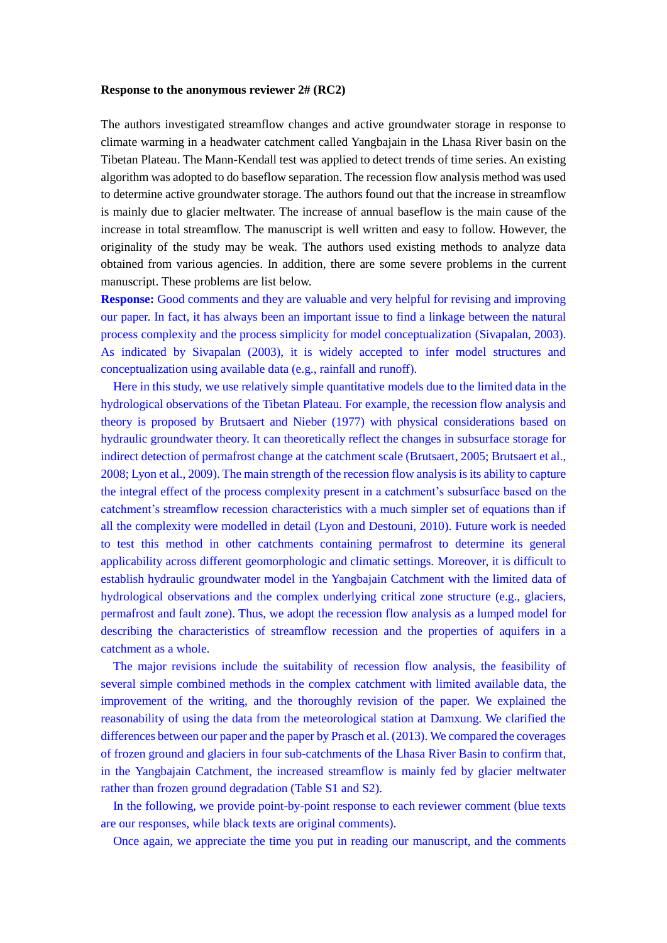## **Response to the anonymous reviewer 2# (RC2)**

The authors investigated streamflow changes and active groundwater storage in response to climate warming in a headwater catchment called Yangbajain in the Lhasa River basin on the Tibetan Plateau. The Mann-Kendall test was applied to detect trends of time series. An existing algorithm was adopted to do baseflow separation. The recession flow analysis method was used to determine active groundwater storage. The authors found out that the increase in streamflow is mainly due to glacier meltwater. The increase of annual baseflow is the main cause of the increase in total streamflow. The manuscript is well written and easy to follow. However, the originality of the study may be weak. The authors used existing methods to analyze data obtained from various agencies. In addition, there are some severe problems in the current manuscript. These problems are list below.

**Response:** Good comments and they are valuable and very helpful for revising and improving our paper. In fact, it has always been an important issue to find a linkage between the natural process complexity and the process simplicity for model conceptualization (Sivapalan, 2003). As indicated by Sivapalan (2003), it is widely accepted to infer model structures and conceptualization using available data (e.g., rainfall and runoff).

Here in this study, we use relatively simple quantitative models due to the limited data in the hydrological observations of the Tibetan Plateau. For example, the recession flow analysis and theory is proposed by Brutsaert and Nieber (1977) with physical considerations based on hydraulic groundwater theory. It can theoretically reflect the changes in subsurface storage for indirect detection of permafrost change at the catchment scale (Brutsaert, 2005; Brutsaert et al., 2008; Lyon et al., 2009). The main strength of the recession flow analysis is its ability to capture the integral effect of the process complexity present in a catchment's subsurface based on the catchment's streamflow recession characteristics with a much simpler set of equations than if all the complexity were modelled in detail (Lyon and Destouni, 2010). Future work is needed to test this method in other catchments containing permafrost to determine its general applicability across different geomorphologic and climatic settings. Moreover, it is difficult to establish hydraulic groundwater model in the Yangbajain Catchment with the limited data of hydrological observations and the complex underlying critical zone structure (e.g., glaciers, permafrost and fault zone). Thus, we adopt the recession flow analysis as a lumped model for describing the characteristics of streamflow recession and the properties of aquifers in a catchment as a whole.

The major revisions include the suitability of recession flow analysis, the feasibility of several simple combined methods in the complex catchment with limited available data, the improvement of the writing, and the thoroughly revision of the paper. We explained the reasonability of using the data from the meteorological station at Damxung. We clarified the differences between our paper and the paper by Prasch et al. (2013). We compared the coverages of frozen ground and glaciers in four sub-catchments of the Lhasa River Basin to confirm that, in the Yangbajain Catchment, the increased streamflow is mainly fed by glacier meltwater rather than frozen ground degradation (Table S1 and S2).

In the following, we provide point-by-point response to each reviewer comment (blue texts are our responses, while black texts are original comments).

Once again, we appreciate the time you put in reading our manuscript, and the comments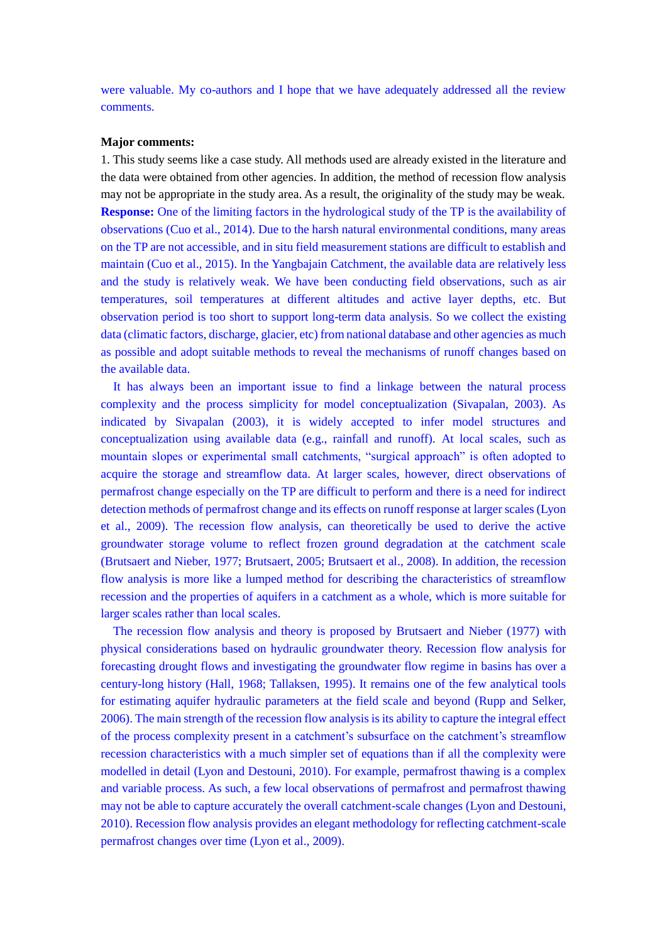were valuable. My co-authors and I hope that we have adequately addressed all the review comments.

## **Major comments:**

1. This study seems like a case study. All methods used are already existed in the literature and the data were obtained from other agencies. In addition, the method of recession flow analysis may not be appropriate in the study area. As a result, the originality of the study may be weak. **Response:** One of the limiting factors in the hydrological study of the TP is the availability of observations (Cuo et al., 2014). Due to the harsh natural environmental conditions, many areas on the TP are not accessible, and in situ field measurement stations are difficult to establish and maintain (Cuo et al., 2015). In the Yangbajain Catchment, the available data are relatively less and the study is relatively weak. We have been conducting field observations, such as air temperatures, soil temperatures at different altitudes and active layer depths, etc. But observation period is too short to support long-term data analysis. So we collect the existing data (climatic factors, discharge, glacier, etc) from national database and other agencies as much as possible and adopt suitable methods to reveal the mechanisms of runoff changes based on the available data.

It has always been an important issue to find a linkage between the natural process complexity and the process simplicity for model conceptualization (Sivapalan, 2003). As indicated by Sivapalan (2003), it is widely accepted to infer model structures and conceptualization using available data (e.g., rainfall and runoff). At local scales, such as mountain slopes or experimental small catchments, "surgical approach" is often adopted to acquire the storage and streamflow data. At larger scales, however, direct observations of permafrost change especially on the TP are difficult to perform and there is a need for indirect detection methods of permafrost change and its effects on runoff response at larger scales (Lyon et al., 2009). The recession flow analysis, can theoretically be used to derive the active groundwater storage volume to reflect frozen ground degradation at the catchment scale (Brutsaert and Nieber, 1977; Brutsaert, 2005; Brutsaert et al., 2008). In addition, the recession flow analysis is more like a lumped method for describing the characteristics of streamflow recession and the properties of aquifers in a catchment as a whole, which is more suitable for larger scales rather than local scales.

The recession flow analysis and theory is proposed by Brutsaert and Nieber (1977) with physical considerations based on hydraulic groundwater theory. Recession flow analysis for forecasting drought flows and investigating the groundwater flow regime in basins has over a century-long history (Hall, 1968; Tallaksen, 1995). It remains one of the few analytical tools for estimating aquifer hydraulic parameters at the field scale and beyond (Rupp and Selker, 2006). The main strength of the recession flow analysis is its ability to capture the integral effect of the process complexity present in a catchment's subsurface on the catchment's streamflow recession characteristics with a much simpler set of equations than if all the complexity were modelled in detail (Lyon and Destouni, 2010). For example, permafrost thawing is a complex and variable process. As such, a few local observations of permafrost and permafrost thawing may not be able to capture accurately the overall catchment-scale changes (Lyon and Destouni, 2010). Recession flow analysis provides an elegant methodology for reflecting catchment-scale permafrost changes over time (Lyon et al., 2009).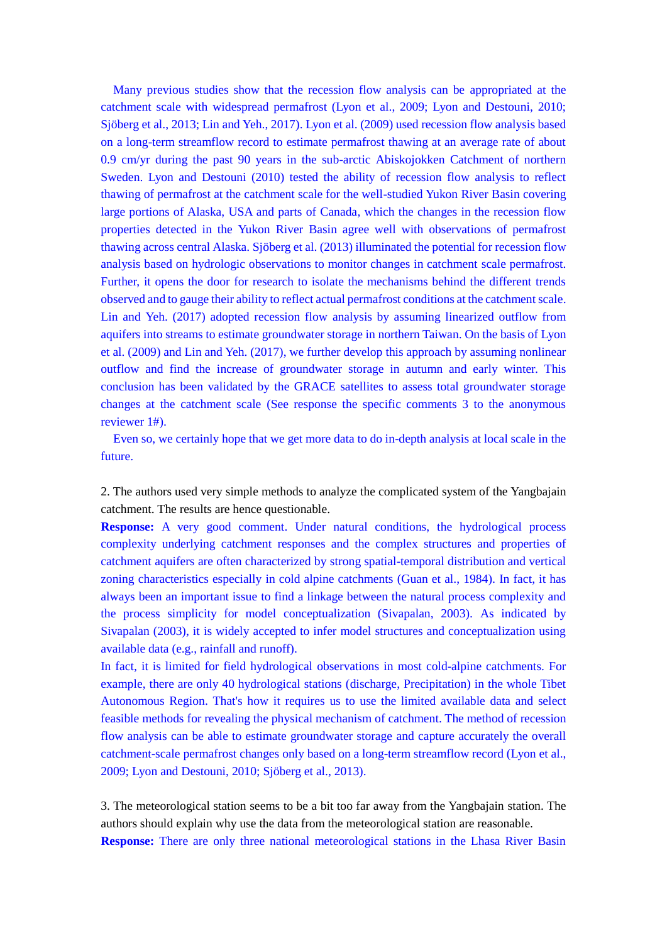Many previous studies show that the recession flow analysis can be appropriated at the catchment scale with widespread permafrost (Lyon et al., 2009; Lyon and Destouni, 2010; Sjöberg et al., 2013; Lin and Yeh., 2017). Lyon et al. (2009) used recession flow analysis based on a long-term streamflow record to estimate permafrost thawing at an average rate of about 0.9 cm/yr during the past 90 years in the sub-arctic Abiskojokken Catchment of northern Sweden. Lyon and Destouni (2010) tested the ability of recession flow analysis to reflect thawing of permafrost at the catchment scale for the well-studied Yukon River Basin covering large portions of Alaska, USA and parts of Canada, which the changes in the recession flow properties detected in the Yukon River Basin agree well with observations of permafrost thawing across central Alaska. Sjöberg et al. (2013) illuminated the potential for recession flow analysis based on hydrologic observations to monitor changes in catchment scale permafrost. Further, it opens the door for research to isolate the mechanisms behind the different trends observed and to gauge their ability to reflect actual permafrost conditions at the catchment scale. Lin and Yeh. (2017) adopted recession flow analysis by assuming linearized outflow from aquifers into streams to estimate groundwater storage in northern Taiwan. On the basis of Lyon et al. (2009) and Lin and Yeh. (2017), we further develop this approach by assuming nonlinear outflow and find the increase of groundwater storage in autumn and early winter. This conclusion has been validated by the GRACE satellites to assess total groundwater storage changes at the catchment scale (See response the specific comments 3 to the anonymous reviewer 1#).

Even so, we certainly hope that we get more data to do in-depth analysis at local scale in the future.

2. The authors used very simple methods to analyze the complicated system of the Yangbajain catchment. The results are hence questionable.

**Response:** A very good comment. Under natural conditions, the hydrological process complexity underlying catchment responses and the complex structures and properties of catchment aquifers are often characterized by strong spatial-temporal distribution and vertical zoning characteristics especially in cold alpine catchments (Guan et al., 1984). In fact, it has always been an important issue to find a linkage between the natural process complexity and the process simplicity for model conceptualization (Sivapalan, 2003). As indicated by Sivapalan (2003), it is widely accepted to infer model structures and conceptualization using available data (e.g., rainfall and runoff).

In fact, it is limited for field hydrological observations in most cold-alpine catchments. For example, there are only 40 hydrological stations (discharge, Precipitation) in the whole Tibet Autonomous Region. That's how it requires us to use the limited available data and select feasible methods for revealing the physical mechanism of catchment. The method of recession flow analysis can be able to estimate groundwater storage and capture accurately the overall catchment-scale permafrost changes only based on a long-term streamflow record (Lyon et al., 2009; Lyon and Destouni, 2010; Sjöberg et al., 2013).

3. The meteorological station seems to be a bit too far away from the Yangbajain station. The authors should explain why use the data from the meteorological station are reasonable. **Response:** There are only three national meteorological stations in the Lhasa River Basin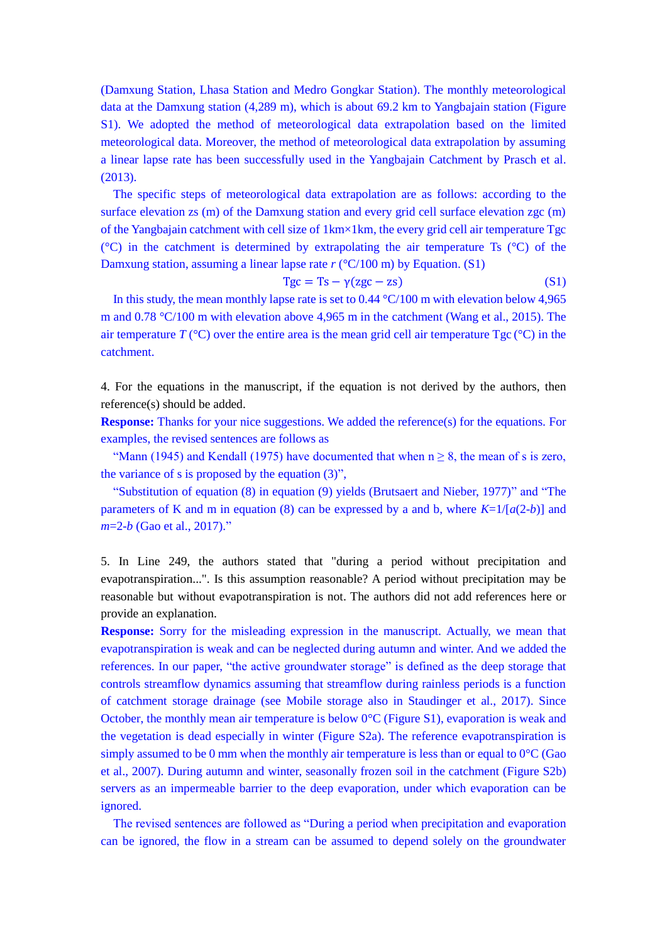(Damxung Station, Lhasa Station and Medro Gongkar Station). The monthly meteorological data at the Damxung station (4,289 m), which is about 69.2 km to Yangbajain station (Figure S1). We adopted the method of meteorological data extrapolation based on the limited meteorological data. Moreover, the method of meteorological data extrapolation by assuming a linear lapse rate has been successfully used in the Yangbajain Catchment by Prasch et al. (2013).

The specific steps of meteorological data extrapolation are as follows: according to the surface elevation zs (m) of the Damxung station and every grid cell surface elevation zgc (m) of the Yangbajain catchment with cell size of 1km×1km, the every grid cell air temperature Tgc ( $^{\circ}$ C) in the catchment is determined by extrapolating the air temperature Ts ( $^{\circ}$ C) of the Damxung station, assuming a linear lapse rate *r* (°C/100 m) by Equation. (S1)

$$
Tgc = Ts - \gamma (zgc - zs)
$$
 (S1)

In this study, the mean monthly lapse rate is set to  $0.44 \degree C/100$  m with elevation below 4,965 m and 0.78 °C/100 m with elevation above 4,965 m in the catchment (Wang et al., 2015). The air temperature  $T({}^{\circ}C)$  over the entire area is the mean grid cell air temperature Tgc  $({}^{\circ}C)$  in the catchment.

4. For the equations in the manuscript, if the equation is not derived by the authors, then reference(s) should be added.

**Response:** Thanks for your nice suggestions. We added the reference(s) for the equations. For examples, the revised sentences are follows as

"Mann (1945) and Kendall (1975) have documented that when  $n \ge 8$ , the mean of s is zero, the variance of s is proposed by the equation (3)",

"Substitution of equation (8) in equation (9) yields (Brutsaert and Nieber, 1977)" and "The parameters of K and m in equation (8) can be expressed by a and b, where  $K=1/[a(2-b)]$  and *m*=2-*b* (Gao et al., 2017)."

5. In Line 249, the authors stated that "during a period without precipitation and evapotranspiration...". Is this assumption reasonable? A period without precipitation may be reasonable but without evapotranspiration is not. The authors did not add references here or provide an explanation.

**Response:** Sorry for the misleading expression in the manuscript. Actually, we mean that evapotranspiration is weak and can be neglected during autumn and winter. And we added the references. In our paper, "the active groundwater storage" is defined as the deep storage that controls streamflow dynamics assuming that streamflow during rainless periods is a function of catchment storage drainage (see Mobile storage also in Staudinger et al., 2017). Since October, the monthly mean air temperature is below  $0^{\circ}$ C (Figure S1), evaporation is weak and the vegetation is dead especially in winter (Figure S2a). The reference evapotranspiration is simply assumed to be 0 mm when the monthly air temperature is less than or equal to  $0^{\circ}C$  (Gao et al., 2007). During autumn and winter, seasonally frozen soil in the catchment (Figure S2b) servers as an impermeable barrier to the deep evaporation, under which evaporation can be ignored.

The revised sentences are followed as "During a period when precipitation and evaporation can be ignored, the flow in a stream can be assumed to depend solely on the groundwater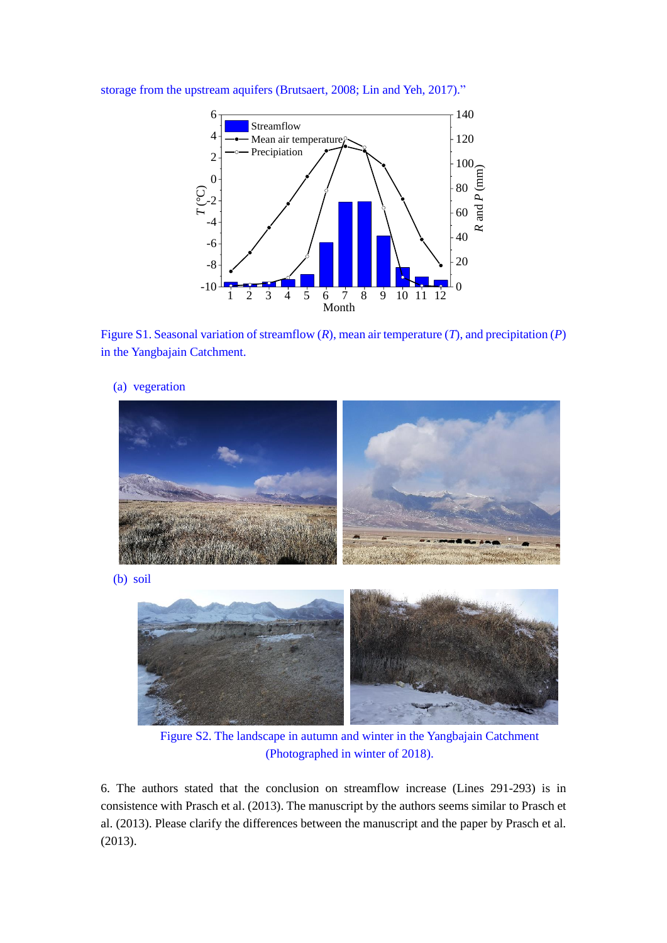

storage from the upstream aquifers (Brutsaert, 2008; Lin and Yeh, 2017)."





(a) vegeration

Figure S2. The landscape in autumn and winter in the Yangbajain Catchment (Photographed in winter of 2018).

6. The authors stated that the conclusion on streamflow increase (Lines 291-293) is in consistence with Prasch et al. (2013). The manuscript by the authors seems similar to Prasch et al. (2013). Please clarify the differences between the manuscript and the paper by Prasch et al. (2013).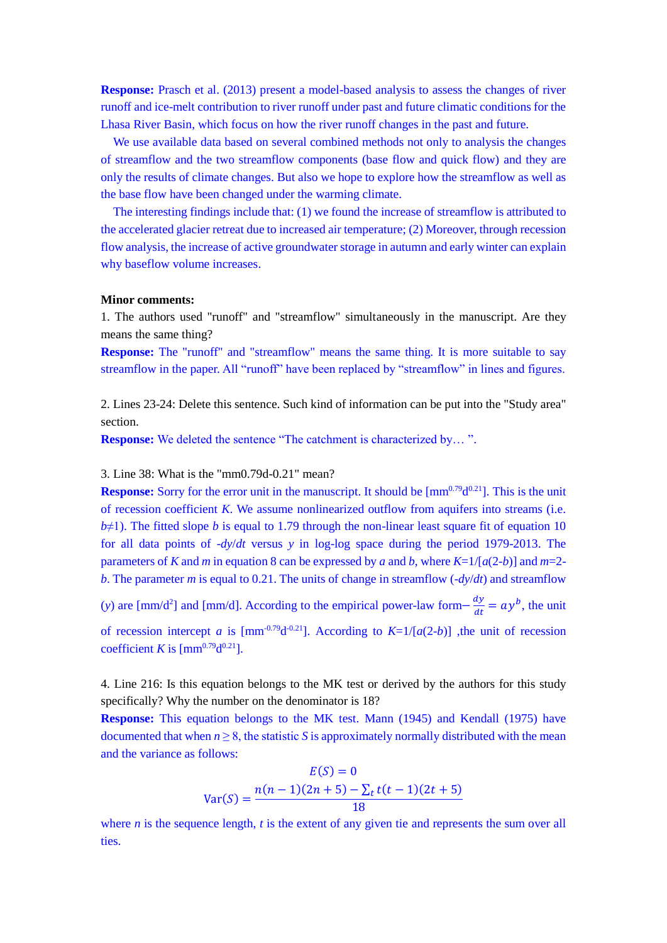**Response:** Prasch et al. (2013) present a model-based analysis to assess the changes of river runoff and ice-melt contribution to river runoff under past and future climatic conditions for the Lhasa River Basin, which focus on how the river runoff changes in the past and future.

We use available data based on several combined methods not only to analysis the changes of streamflow and the two streamflow components (base flow and quick flow) and they are only the results of climate changes. But also we hope to explore how the streamflow as well as the base flow have been changed under the warming climate.

The interesting findings include that: (1) we found the increase of streamflow is attributed to the accelerated glacier retreat due to increased air temperature; (2) Moreover, through recession flow analysis, the increase of active groundwater storage in autumn and early winter can explain why baseflow volume increases.

## **Minor comments:**

1. The authors used "runoff" and "streamflow" simultaneously in the manuscript. Are they means the same thing?

**Response:** The "runoff" and "streamflow" means the same thing. It is more suitable to say streamflow in the paper. All "runoff" have been replaced by "streamflow" in lines and figures.

2. Lines 23-24: Delete this sentence. Such kind of information can be put into the "Study area" section.

**Response:** We deleted the sentence "The catchment is characterized by...".

3. Line 38: What is the "mm0.79d-0.21" mean?

**Response:** Sorry for the error unit in the manuscript. It should be  $\text{[mm}^{0.79}\text{d}^{0.21}$ ]. This is the unit of recession coefficient *K*. We assume nonlinearized outflow from aquifers into streams (i.e.  $b\neq 1$ ). The fitted slope *b* is equal to 1.79 through the non-linear least square fit of equation 10 for all data points of -*dy*/*dt* versus *y* in log-log space during the period 1979-2013. The parameters of *K* and *m* in equation 8 can be expressed by *a* and *b*, where *K*=1/[*a*(2-*b*)] and *m*=2 *b*. The parameter *m* is equal to 0.21. The units of change in streamflow (-*dy*/*dt*) and streamflow

(*y*) are [mm/d<sup>2</sup>] and [mm/d]. According to the empirical power-law form $-\frac{dy}{dt}$  $\frac{dy}{dt} = ay^b$ , the unit of recession intercept *a* is [mm<sup>-0.79</sup>d<sup>-0.21</sup>]. According to  $K=1/[a(2-b)]$  ,the unit of recession

coefficient *K* is  $\text{[mm}^{0.79}\text{d}^{0.21}\text{]}$ .

4. Line 216: Is this equation belongs to the MK test or derived by the authors for this study specifically? Why the number on the denominator is 18?

**Response:** This equation belongs to the MK test. Mann (1945) and Kendall (1975) have documented that when  $n \geq 8$ , the statistic *S* is approximately normally distributed with the mean and the variance as follows:

$$
E(S) = 0
$$
  
Var(S) = 
$$
\frac{n(n-1)(2n+5) - \sum_{t} t(t-1)(2t+5)}{18}
$$

where  $n$  is the sequence length,  $t$  is the extent of any given tie and represents the sum over all ties.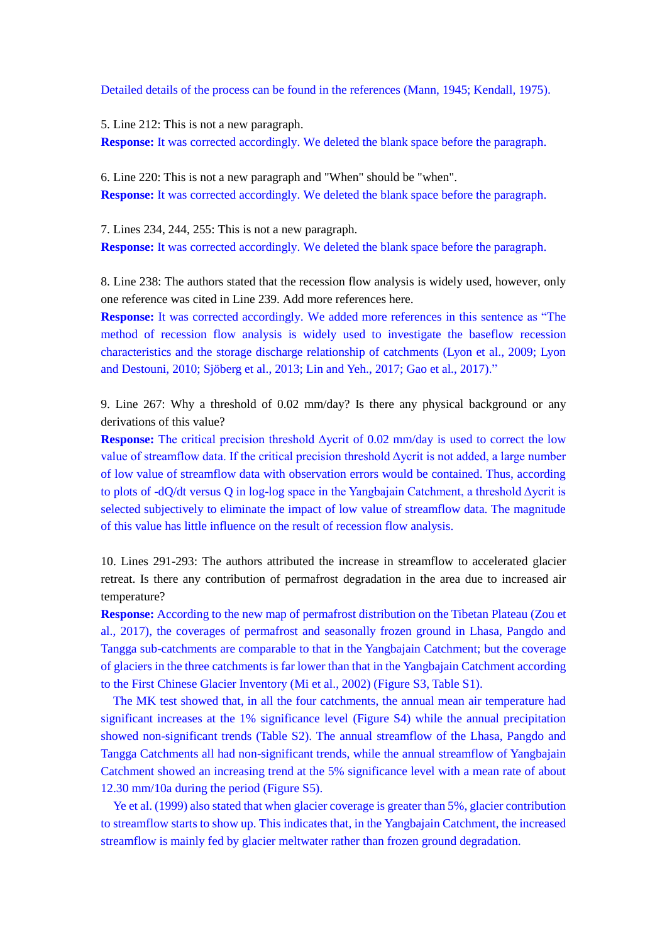Detailed details of the process can be found in the references (Mann, 1945; Kendall, 1975).

5. Line 212: This is not a new paragraph. **Response:** It was corrected accordingly. We deleted the blank space before the paragraph.

6. Line 220: This is not a new paragraph and "When" should be "when". **Response:** It was corrected accordingly. We deleted the blank space before the paragraph.

7. Lines 234, 244, 255: This is not a new paragraph. **Response:** It was corrected accordingly. We deleted the blank space before the paragraph.

8. Line 238: The authors stated that the recession flow analysis is widely used, however, only one reference was cited in Line 239. Add more references here.

**Response:** It was corrected accordingly. We added more references in this sentence as "The method of recession flow analysis is widely used to investigate the baseflow recession characteristics and the storage discharge relationship of catchments (Lyon et al., 2009; Lyon and Destouni, 2010; Sjöberg et al., 2013; Lin and Yeh., 2017; Gao et al., 2017)."

9. Line 267: Why a threshold of 0.02 mm/day? Is there any physical background or any derivations of this value?

**Response:** The critical precision threshold Δycrit of 0.02 mm/day is used to correct the low value of streamflow data. If the critical precision threshold Δycrit is not added, a large number of low value of streamflow data with observation errors would be contained. Thus, according to plots of -dQ/dt versus Q in log-log space in the Yangbajain Catchment, a threshold Δycrit is selected subjectively to eliminate the impact of low value of streamflow data. The magnitude of this value has little influence on the result of recession flow analysis.

10. Lines 291-293: The authors attributed the increase in streamflow to accelerated glacier retreat. Is there any contribution of permafrost degradation in the area due to increased air temperature?

**Response:** According to the new map of permafrost distribution on the Tibetan Plateau (Zou et al., 2017), the coverages of permafrost and seasonally frozen ground in Lhasa, Pangdo and Tangga sub-catchments are comparable to that in the Yangbajain Catchment; but the coverage of glaciers in the three catchments is far lower than that in the Yangbajain Catchment according to the First Chinese Glacier Inventory (Mi et al., 2002) (Figure S3, Table S1).

The MK test showed that, in all the four catchments, the annual mean air temperature had significant increases at the 1% significance level (Figure S4) while the annual precipitation showed non-significant trends (Table S2). The annual streamflow of the Lhasa, Pangdo and Tangga Catchments all had non-significant trends, while the annual streamflow of Yangbajain Catchment showed an increasing trend at the 5% significance level with a mean rate of about 12.30 mm/10a during the period (Figure S5).

Ye et al. (1999) also stated that when glacier coverage is greater than 5%, glacier contribution to streamflow starts to show up. This indicates that, in the Yangbajain Catchment, the increased streamflow is mainly fed by glacier meltwater rather than frozen ground degradation.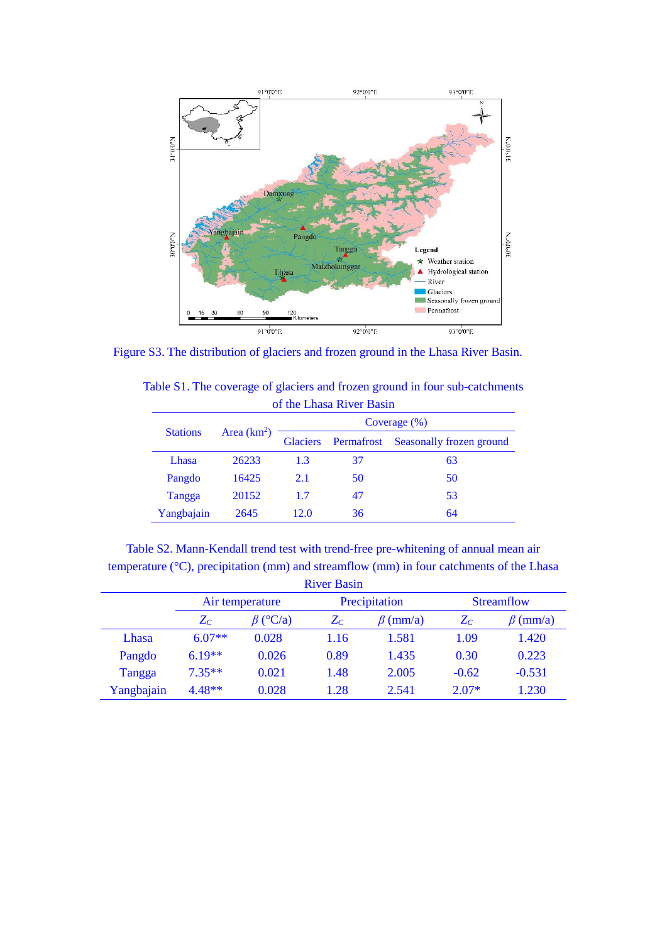

Figure S3. The distribution of glaciers and frozen ground in the Lhasa River Basin.

| Table S1. The coverage of glaciers and frozen ground in four sub-catchments |  |
|-----------------------------------------------------------------------------|--|
| of the Lhasa River Basin                                                    |  |

|                 | Area $(km2)$ | Coverage $(\% )$ |            |                          |  |  |
|-----------------|--------------|------------------|------------|--------------------------|--|--|
| <b>Stations</b> |              | <b>Glaciers</b>  | Permafrost | Seasonally frozen ground |  |  |
| Lhasa           | 26233        | 1.3              | 37         | 63                       |  |  |
| Pangdo          | 16425        | 2.1              | 50         | 50                       |  |  |
| Tangga          | 20152        | 1.7              | 47         | 53                       |  |  |
| Yangbajain      | 2645         | 12.0             | 36         | 64                       |  |  |

Table S2. Mann-Kendall trend test with trend-free pre-whitening of annual mean air temperature (°C), precipitation (mm) and streamflow (mm) in four catchments of the Lhasa

| <b>River Basin</b> |                 |                |               |                |                   |                |  |  |  |
|--------------------|-----------------|----------------|---------------|----------------|-------------------|----------------|--|--|--|
|                    | Air temperature |                | Precipitation |                | <b>Streamflow</b> |                |  |  |  |
|                    | $Z_C$           | $\beta$ (°C/a) | $Z_C$         | $\beta$ (mm/a) | $Z_C$             | $\beta$ (mm/a) |  |  |  |
| Lhasa              | $6.07**$        | 0.028          | 1.16          | 1.581          | 1.09              | 1.420          |  |  |  |
| Pangdo             | $6.19**$        | 0.026          | 0.89          | 1.435          | 0.30              | 0.223          |  |  |  |
| Tangga             | $7.35**$        | 0.021          | 1.48          | 2.005          | $-0.62$           | $-0.531$       |  |  |  |
| Yangbajain         | $4.48**$        | 0.028          | 1.28          | 2.541          | $2.07*$           | 1.230          |  |  |  |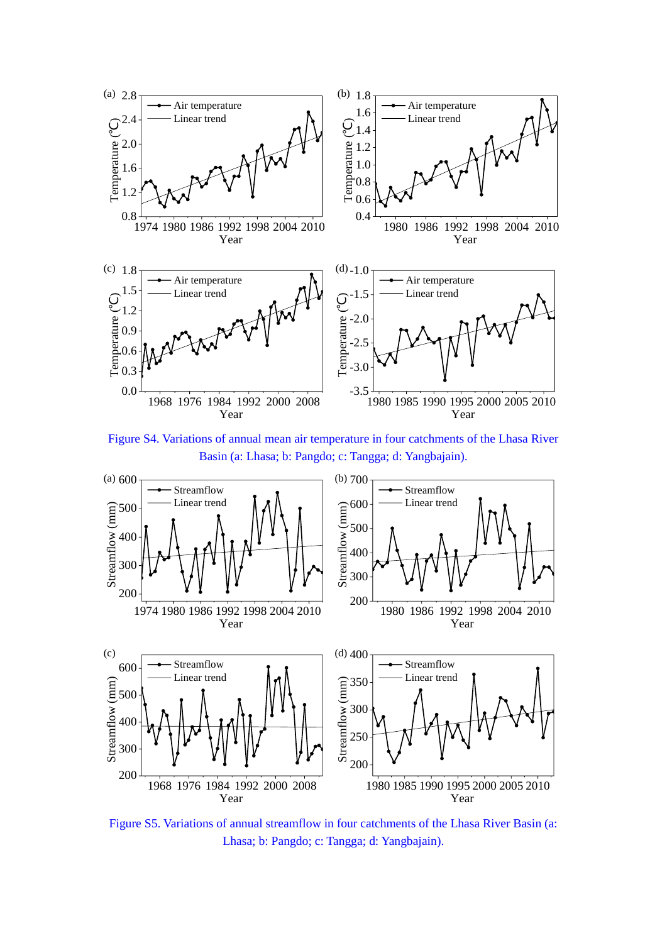

Figure S4. Variations of annual mean air temperature in four catchments of the Lhasa River Basin (a: Lhasa; b: Pangdo; c: Tangga; d: Yangbajain).



Figure S5. Variations of annual streamflow in four catchments of the Lhasa River Basin (a: Lhasa; b: Pangdo; c: Tangga; d: Yangbajain).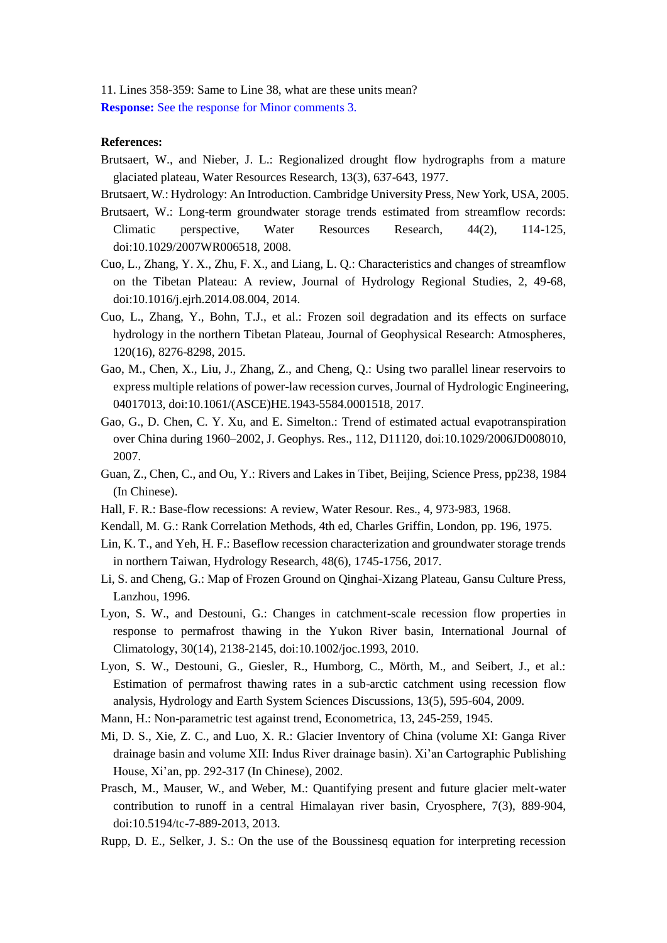11. Lines 358-359: Same to Line 38, what are these units mean? **Response:** See the response for Minor comments 3.

## **References:**

- Brutsaert, W., and Nieber, J. L.: Regionalized drought flow hydrographs from a mature glaciated plateau, Water Resources Research, 13(3), 637-643, 1977.
- Brutsaert, W.: Hydrology: An Introduction. Cambridge University Press, New York, USA, 2005.
- Brutsaert, W.: Long-term groundwater storage trends estimated from streamflow records: Climatic perspective, Water Resources Research, 44(2), 114-125, doi:10.1029/2007WR006518, 2008.
- Cuo, L., Zhang, Y. X., Zhu, F. X., and Liang, L. Q.: Characteristics and changes of streamflow on the Tibetan Plateau: A review, Journal of Hydrology Regional Studies, 2, 49-68, doi:10.1016/j.ejrh.2014.08.004, 2014.
- Cuo, L., Zhang, Y., Bohn, T.J., et al.: Frozen soil degradation and its effects on surface hydrology in the northern Tibetan Plateau, Journal of Geophysical Research: Atmospheres, 120(16), 8276-8298, 2015.
- Gao, M., Chen, X., Liu, J., Zhang, Z., and Cheng, Q.: Using two parallel linear reservoirs to express multiple relations of power-law recession curves, Journal of Hydrologic Engineering, 04017013, doi:10.1061/(ASCE)HE.1943-5584.0001518, 2017.
- Gao, G., D. Chen, C. Y. Xu, and E. Simelton.: Trend of estimated actual evapotranspiration over China during 1960–2002, J. Geophys. Res., 112, D11120, doi:10.1029/2006JD008010, 2007.
- Guan, Z., Chen, C., and Ou, Y.: Rivers and Lakes in Tibet, Beijing, Science Press, pp238, 1984 (In Chinese).
- Hall, F. R.: Base-flow recessions: A review, Water Resour. Res., 4, 973-983, 1968.
- Kendall, M. G.: Rank Correlation Methods, 4th ed, Charles Griffin, London, pp. 196, 1975.
- Lin, K. T., and Yeh, H. F.: Baseflow recession characterization and groundwater storage trends in northern Taiwan, Hydrology Research, 48(6), 1745-1756, 2017.
- Li, S. and Cheng, G.: Map of Frozen Ground on Qinghai-Xizang Plateau, Gansu Culture Press, Lanzhou, 1996.
- Lyon, S. W., and Destouni, G.: Changes in catchment-scale recession flow properties in response to permafrost thawing in the Yukon River basin, International Journal of Climatology, 30(14), 2138-2145, doi:10.1002/joc.1993, 2010.
- Lyon, S. W., Destouni, G., Giesler, R., Humborg, C., Mörth, M., and Seibert, J., et al.: Estimation of permafrost thawing rates in a sub-arctic catchment using recession flow analysis, Hydrology and Earth System Sciences Discussions, 13(5), 595-604, 2009.
- Mann, H.: Non-parametric test against trend, Econometrica, 13, 245-259, 1945.
- Mi, D. S., Xie, Z. C., and Luo, X. R.: Glacier Inventory of China (volume XI: Ganga River drainage basin and volume XII: Indus River drainage basin). Xi'an Cartographic Publishing House, Xi'an, pp. 292-317 (In Chinese), 2002.
- Prasch, M., Mauser, W., and Weber, M.: Quantifying present and future glacier melt-water contribution to runoff in a central Himalayan river basin, Cryosphere, 7(3), 889-904, doi:10.5194/tc-7-889-2013, 2013.
- Rupp, D. E., Selker, J. S.: On the use of the Boussinesq equation for interpreting recession